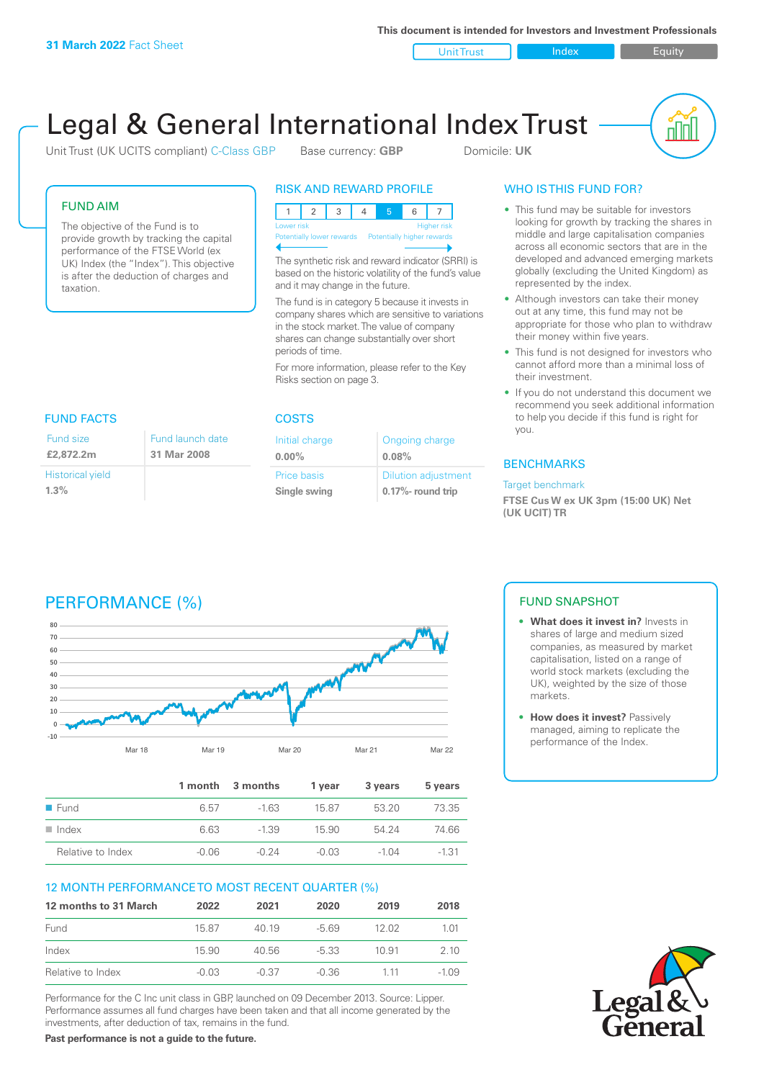**This document is intended for Investors and Investment Professionals**

Unit Trust Index I Equity

# Legal & General International Index Trust

Unit Trust (UK UCITS compliant) C-Class GBP Base currency: **GBP** Domicile: UK



## FUND AIM

The objective of the Fund is to provide growth by tracking the capital performance of the FTSE World (ex UK) Index (the "Index"). This objective is after the deduction of charges and taxation.

## RISK AND REWARD PROFILE

| Lower risk                                           |  |  |  |  | <b>Higher risk</b> |
|------------------------------------------------------|--|--|--|--|--------------------|
| Potentially lower rewards Potentially higher rewards |  |  |  |  |                    |
|                                                      |  |  |  |  |                    |

The synthetic risk and reward indicator (SRRI) is based on the historic volatility of the fund's value and it may change in the future.

The fund is in category 5 because it invests in company shares which are sensitive to variations in the stock market. The value of company shares can change substantially over short periods of time.

For more information, please refer to the Key Risks section on page 3.

| FUND FACTS                      |                                 |
|---------------------------------|---------------------------------|
| Fund size<br>£2,872.2m          | Fund launch date<br>31 Mar 2008 |
| <b>Historical yield</b><br>1.3% |                                 |

#### COSTS

| Initial charge | Ongoing charge             |
|----------------|----------------------------|
| $0.00\%$       | 0.08%                      |
| Price basis    | <b>Dilution adjustment</b> |
| Single swing   | 0.17%- round trip          |

# WHO IS THIS FUND FOR?

- This fund may be suitable for investors looking for growth by tracking the shares in middle and large capitalisation companies across all economic sectors that are in the developed and advanced emerging markets globally (excluding the United Kingdom) as represented by the index.
- Although investors can take their money out at any time, this fund may not be appropriate for those who plan to withdraw their money within five years.
- This fund is not designed for investors who cannot afford more than a minimal loss of their investment.
- If you do not understand this document we recommend you seek additional information to help you decide if this fund is right for you.

#### **BENCHMARKS**

#### Target benchmark

**FTSE Cus W ex UK 3pm (15:00 UK) Net (UK UCIT) TR**

# PERFORMANCE (%)



|                      |         | 1 month 3 months | 1 year  | 3 years | 5 years |
|----------------------|---------|------------------|---------|---------|---------|
| ■ Fund               | 6.57    | $-163$           | 1587    | 53.20   | 73.35   |
| $\blacksquare$ Index | 6.63    | $-1.39$          | 15.90   | 54 24   | 74.66   |
| Relative to Index    | $-0.06$ | $-0.24$          | $-0.03$ | $-1.04$ | $-1.31$ |

## 12 MONTH PERFORMANCE TO MOST RECENT QUARTER (%)

| 12 months to 31 March | 2022    | 2021    | 2020    | 2019  | 2018   |
|-----------------------|---------|---------|---------|-------|--------|
| Fund                  | 15.87   | 40 19   | -5.69   | 12 O2 | 1 01   |
| Index                 | 15.90   | 40.56   | $-5.33$ | 10.91 | 2 10   |
| Relative to Index     | $-0.03$ | $-0.37$ | -0.36   | 1 1 1 | -1 0.9 |

Performance for the C Inc unit class in GBP, launched on 09 December 2013. Source: Lipper. Performance assumes all fund charges have been taken and that all income generated by the investments, after deduction of tax, remains in the fund.

**Past performance is not a guide to the future.**

## FUND SNAPSHOT

- **• What does it invest in?** Invests in shares of large and medium sized companies, as measured by market capitalisation, listed on a range of world stock markets (excluding the UK), weighted by the size of those markets.
- **• How does it invest?** Passively managed, aiming to replicate the performance of the Index.

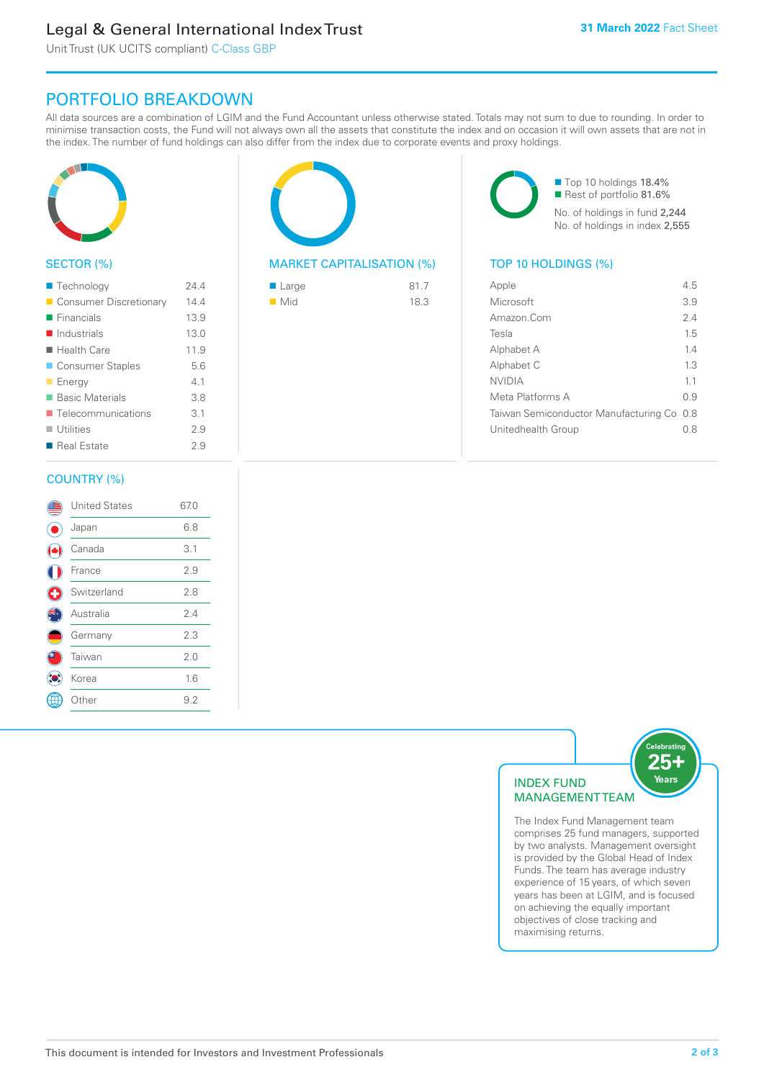# Legal & General International Index Trust

Unit Trust (UK UCITS compliant) C-Class GBP

# PORTFOLIO BREAKDOWN

All data sources are a combination of LGIM and the Fund Accountant unless otherwise stated. Totals may not sum to due to rounding. In order to minimise transaction costs, the Fund will not always own all the assets that constitute the index and on occasion it will own assets that are not in the index. The number of fund holdings can also differ from the index due to corporate events and proxy holdings.



#### SECTOR (%)

| ■ Technology                      | 244  |
|-----------------------------------|------|
| Consumer Discretionary            | 14.4 |
| $\blacksquare$ Financials         | 13.9 |
| $\blacksquare$ Industrials        | 13.0 |
| $\blacksquare$ Health Care        | 11.9 |
| ■ Consumer Staples                | 5.6  |
| <b>Energy</b>                     | 41   |
| <b>Basic Materials</b>            | 3.8  |
| $\blacksquare$ Telecommunications | 3.1  |
| $\blacksquare$ Utilities          | 29   |
| ■ Real Estate                     | 29   |
|                                   |      |

#### COUNTRY (%)

|   | <b>United States</b> | 67.0 |  |
|---|----------------------|------|--|
|   | Japan                | 6.8  |  |
|   | Canada               | 3.1  |  |
|   | France               | 2.9  |  |
| Œ | Switzerland          | 2.8  |  |
|   | Australia            | 2.4  |  |
|   | Germany              | 2.3  |  |
|   | Taiwan               | 2.0  |  |
|   | Korea                | 1.6  |  |
|   | Other                | 9.2  |  |
|   |                      |      |  |



### MARKET CAPITALISATION (%) TOP 10 HOLDINGS (%)

| $\blacksquare$ Large | 81.7 |
|----------------------|------|
| $\blacksquare$ Mid   | 18.3 |

■ Top 10 holdings 18.4% Rest of portfolio 81.6% No. of holdings in fund 2,244 No. of holdings in index 2,555

| Apple                                     | 45  |
|-------------------------------------------|-----|
| Microsoft                                 | 3.9 |
| Amazon Com                                | 24  |
| Tesla                                     | 15  |
| Alphabet A                                | 14  |
| Alphabet C                                | 13  |
| NVIDIA                                    | 11  |
| Meta Platforms A                          | 09  |
| Taiwan Semiconductor Manufacturing Co 0.8 |     |
| Unitedhealth Group                        | 0 8 |
|                                           |     |



The Index Fund Management team comprises 25 fund managers, supported by two analysts. Management oversight is provided by the Global Head of Index Funds. The team has average industry experience of 15 years, of which seven years has been at LGIM, and is focused on achieving the equally important objectives of close tracking and maximising returns.